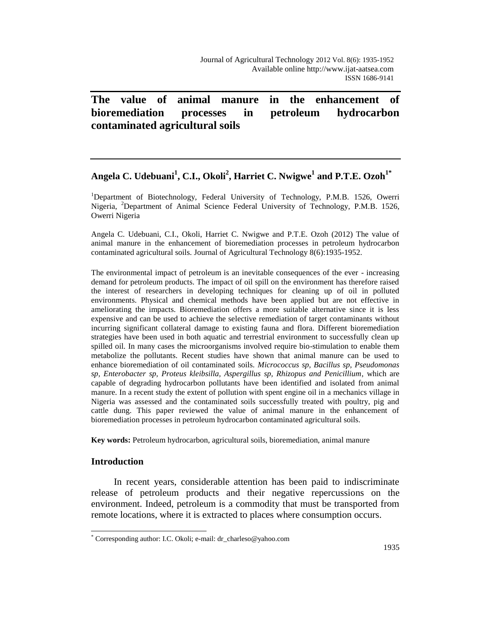# **The value of animal manure in the enhancement of bioremediation processes in petroleum hydrocarbon contaminated agricultural soils**

# **Angela C. Udebuani<sup>1</sup> , C.I., Okoli<sup>2</sup> , Harriet C. Nwigwe<sup>1</sup> and P.T.E. Ozoh1\***

<sup>1</sup>Department of Biotechnology, Federal University of Technology, P.M.B. 1526, Owerri Nigeria, <sup>2</sup>Department of Animal Science Federal University of Technology, P.M.B. 1526, Owerri Nigeria

Angela C. Udebuani, C.I., Okoli, Harriet C. Nwigwe and P.T.E. Ozoh (2012) The value of animal manure in the enhancement of bioremediation processes in petroleum hydrocarbon contaminated agricultural soils. Journal of Agricultural Technology 8(6):1935-1952.

The environmental impact of petroleum is an inevitable consequences of the ever - increasing demand for petroleum products. The impact of oil spill on the environment has therefore raised the interest of researchers in developing techniques for cleaning up of oil in polluted environments. Physical and chemical methods have been applied but are not effective in ameliorating the impacts. Bioremediation offers a more suitable alternative since it is less expensive and can be used to achieve the selective remediation of target contaminants without incurring significant collateral damage to existing fauna and flora. Different bioremediation strategies have been used in both aquatic and terrestrial environment to successfully clean up spilled oil. In many cases the microorganisms involved require bio-stimulation to enable them metabolize the pollutants. Recent studies have shown that animal manure can be used to enhance bioremediation of oil contaminated soils. *Micrococcus sp, Bacillus sp, Pseudomonas sp, Enterobacter sp, Proteus kleibsilla, Aspergillus sp, Rhizopus and Penicillium*, which are capable of degrading hydrocarbon pollutants have been identified and isolated from animal manure. In a recent study the extent of pollution with spent engine oil in a mechanics village in Nigeria was assessed and the contaminated soils successfully treated with poultry, pig and cattle dung. This paper reviewed the value of animal manure in the enhancement of bioremediation processes in petroleum hydrocarbon contaminated agricultural soils.

**Key words:** Petroleum hydrocarbon, agricultural soils, bioremediation, animal manure

# **Introduction**

In recent years, considerable attention has been paid to indiscriminate release of petroleum products and their negative repercussions on the environment. Indeed, petroleum is a commodity that must be transported from remote locations, where it is extracted to places where consumption occurs.

 $\overline{a}$ \* Corresponding author: I.C. Okoli; e-mail: dr\_charleso@yahoo.com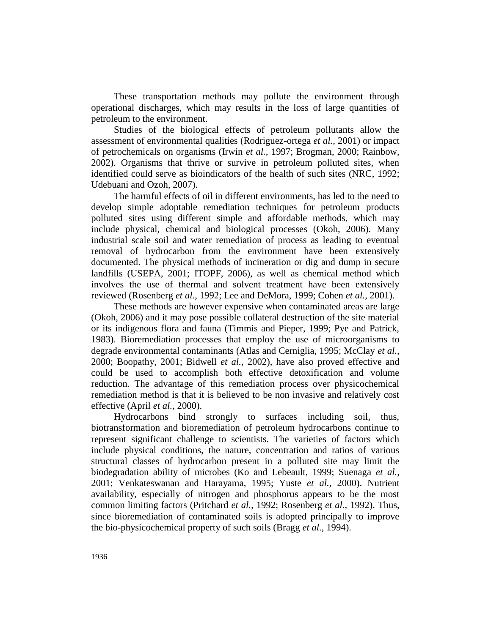These transportation methods may pollute the environment through operational discharges, which may results in the loss of large quantities of petroleum to the environment.

Studies of the biological effects of petroleum pollutants allow the assessment of environmental qualities (Rodriguez-ortega *et al.,* 2001) or impact of petrochemicals on organisms (Irwin *et al.,* 1997; Brogman, 2000; Rainbow, 2002). Organisms that thrive or survive in petroleum polluted sites, when identified could serve as bioindicators of the health of such sites (NRC, 1992; Udebuani and Ozoh, 2007).

The harmful effects of oil in different environments, has led to the need to develop simple adoptable remediation techniques for petroleum products polluted sites using different simple and affordable methods, which may include physical, chemical and biological processes (Okoh, 2006). Many industrial scale soil and water remediation of process as leading to eventual removal of hydrocarbon from the environment have been extensively documented. The physical methods of incineration or dig and dump in secure landfills (USEPA, 2001; ITOPF, 2006), as well as chemical method which involves the use of thermal and solvent treatment have been extensively reviewed (Rosenberg *et al.,* 1992; Lee and DeMora, 1999; Cohen *et al.,* 2001).

These methods are however expensive when contaminated areas are large (Okoh, 2006) and it may pose possible collateral destruction of the site material or its indigenous flora and fauna (Timmis and Pieper, 1999; Pye and Patrick, 1983). Bioremediation processes that employ the use of microorganisms to degrade environmental contaminants (Atlas and Cerniglia, 1995; McClay *et al.,* 2000; Boopathy, 2001; Bidwell *et al.,* 2002), have also proved effective and could be used to accomplish both effective detoxification and volume reduction. The advantage of this remediation process over physicochemical remediation method is that it is believed to be non invasive and relatively cost effective (April *et al.,* 2000).

Hydrocarbons bind strongly to surfaces including soil, thus, biotransformation and bioremediation of petroleum hydrocarbons continue to represent significant challenge to scientists. The varieties of factors which include physical conditions, the nature, concentration and ratios of various structural classes of hydrocarbon present in a polluted site may limit the biodegradation ability of microbes (Ko and Lebeault, 1999; Suenaga *et al.,* 2001; Venkateswanan and Harayama, 1995; Yuste *et al.,* 2000). Nutrient availability, especially of nitrogen and phosphorus appears to be the most common limiting factors (Pritchard *et al.,* 1992; Rosenberg *et al.,* 1992). Thus, since bioremediation of contaminated soils is adopted principally to improve the bio-physicochemical property of such soils (Bragg *et al.,* 1994).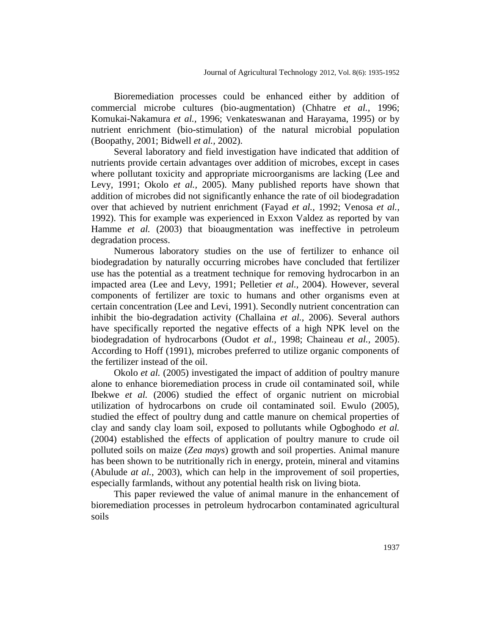Bioremediation processes could be enhanced either by addition of commercial microbe cultures (bio-augmentation) (Chhatre *et al.,* 1996; Komukai-Nakamura *et al.,* 1996; Venkateswanan and Harayama, 1995) or by nutrient enrichment (bio-stimulation) of the natural microbial population (Boopathy, 2001; Bidwell *et al.,* 2002).

Several laboratory and field investigation have indicated that addition of nutrients provide certain advantages over addition of microbes, except in cases where pollutant toxicity and appropriate microorganisms are lacking (Lee and Levy, 1991; Okolo *et al.,* 2005). Many published reports have shown that addition of microbes did not significantly enhance the rate of oil biodegradation over that achieved by nutrient enrichment (Fayad *et al.,* 1992; Venosa *et al.,* 1992). This for example was experienced in Exxon Valdez as reported by van Hamme *et al.* (2003) that bioaugmentation was ineffective in petroleum degradation process.

Numerous laboratory studies on the use of fertilizer to enhance oil biodegradation by naturally occurring microbes have concluded that fertilizer use has the potential as a treatment technique for removing hydrocarbon in an impacted area (Lee and Levy, 1991; Pelletier *et al.,* 2004). However, several components of fertilizer are toxic to humans and other organisms even at certain concentration (Lee and Levi, 1991). Secondly nutrient concentration can inhibit the bio-degradation activity (Challaina *et al.,* 2006). Several authors have specifically reported the negative effects of a high NPK level on the biodegradation of hydrocarbons (Oudot *et al.,* 1998; Chaineau *et al.,* 2005). According to Hoff (1991), microbes preferred to utilize organic components of the fertilizer instead of the oil.

Okolo *et al.* (2005) investigated the impact of addition of poultry manure alone to enhance bioremediation process in crude oil contaminated soil, while Ibekwe *et al.* (2006) studied the effect of organic nutrient on microbial utilization of hydrocarbons on crude oil contaminated soil. Ewulo (2005), studied the effect of poultry dung and cattle manure on chemical properties of clay and sandy clay loam soil, exposed to pollutants while Ogboghodo *et al.* (2004) established the effects of application of poultry manure to crude oil polluted soils on maize (*Zea mays*) growth and soil properties. Animal manure has been shown to be nutritionally rich in energy, protein, mineral and vitamins (Abulude *at al.,* 2003), which can help in the improvement of soil properties, especially farmlands, without any potential health risk on living biota.

This paper reviewed the value of animal manure in the enhancement of bioremediation processes in petroleum hydrocarbon contaminated agricultural soils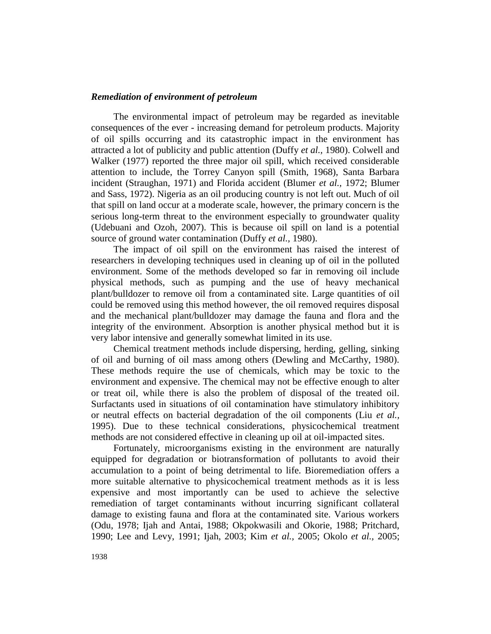# *Remediation of environment of petroleum*

The environmental impact of petroleum may be regarded as inevitable consequences of the ever - increasing demand for petroleum products. Majority of oil spills occurring and its catastrophic impact in the environment has attracted a lot of publicity and public attention (Duffy *et al.,* 1980). Colwell and Walker (1977) reported the three major oil spill, which received considerable attention to include, the Torrey Canyon spill (Smith, 1968), Santa Barbara incident (Straughan, 1971) and Florida accident (Blumer *et al.,* 1972; Blumer and Sass, 1972). Nigeria as an oil producing country is not left out. Much of oil that spill on land occur at a moderate scale, however, the primary concern is the serious long-term threat to the environment especially to groundwater quality (Udebuani and Ozoh, 2007). This is because oil spill on land is a potential source of ground water contamination (Duffy *et al.,* 1980).

The impact of oil spill on the environment has raised the interest of researchers in developing techniques used in cleaning up of oil in the polluted environment. Some of the methods developed so far in removing oil include physical methods, such as pumping and the use of heavy mechanical plant/bulldozer to remove oil from a contaminated site. Large quantities of oil could be removed using this method however, the oil removed requires disposal and the mechanical plant/bulldozer may damage the fauna and flora and the integrity of the environment. Absorption is another physical method but it is very labor intensive and generally somewhat limited in its use.

Chemical treatment methods include dispersing, herding, gelling, sinking of oil and burning of oil mass among others (Dewling and McCarthy, 1980). These methods require the use of chemicals, which may be toxic to the environment and expensive. The chemical may not be effective enough to alter or treat oil, while there is also the problem of disposal of the treated oil. Surfactants used in situations of oil contamination have stimulatory inhibitory or neutral effects on bacterial degradation of the oil components (Liu *et al.,* 1995). Due to these technical considerations, physicochemical treatment methods are not considered effective in cleaning up oil at oil-impacted sites.

Fortunately, microorganisms existing in the environment are naturally equipped for degradation or biotransformation of pollutants to avoid their accumulation to a point of being detrimental to life. Bioremediation offers a more suitable alternative to physicochemical treatment methods as it is less expensive and most importantly can be used to achieve the selective remediation of target contaminants without incurring significant collateral damage to existing fauna and flora at the contaminated site. Various workers (Odu, 1978; Ijah and Antai, 1988; Okpokwasili and Okorie, 1988; Pritchard, 1990; Lee and Levy, 1991; Ijah, 2003; Kim *et al.,* 2005; Okolo *et al.,* 2005;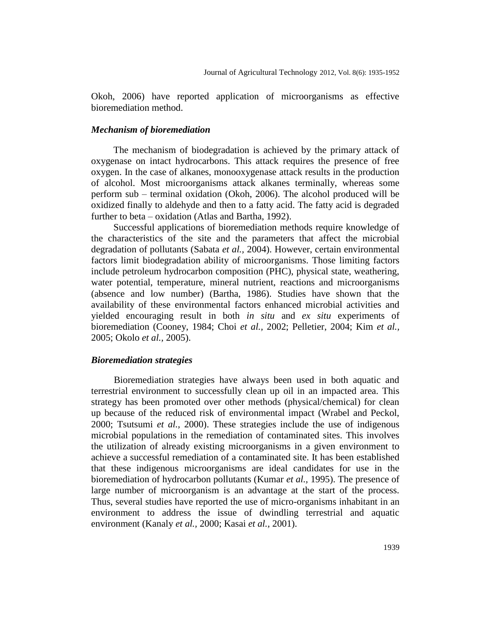Okoh, 2006) have reported application of microorganisms as effective bioremediation method.

### *Mechanism of bioremediation*

The mechanism of biodegradation is achieved by the primary attack of oxygenase on intact hydrocarbons. This attack requires the presence of free oxygen. In the case of alkanes, monooxygenase attack results in the production of alcohol. Most microorganisms attack alkanes terminally, whereas some perform sub – terminal oxidation (Okoh, 2006). The alcohol produced will be oxidized finally to aldehyde and then to a fatty acid. The fatty acid is degraded further to beta – oxidation (Atlas and Bartha, 1992).

Successful applications of bioremediation methods require knowledge of the characteristics of the site and the parameters that affect the microbial degradation of pollutants (Sabata *et al.,* 2004). However, certain environmental factors limit biodegradation ability of microorganisms. Those limiting factors include petroleum hydrocarbon composition (PHC), physical state, weathering, water potential, temperature, mineral nutrient, reactions and microorganisms (absence and low number) (Bartha, 1986). Studies have shown that the availability of these environmental factors enhanced microbial activities and yielded encouraging result in both *in situ* and *ex situ* experiments of bioremediation (Cooney, 1984; Choi *et al.,* 2002; Pelletier, 2004; Kim *et al.,* 2005; Okolo *et al.,* 2005).

# *Bioremediation strategies*

Bioremediation strategies have always been used in both aquatic and terrestrial environment to successfully clean up oil in an impacted area. This strategy has been promoted over other methods (physical/chemical) for clean up because of the reduced risk of environmental impact (Wrabel and Peckol, 2000; Tsutsumi *et al.,* 2000). These strategies include the use of indigenous microbial populations in the remediation of contaminated sites. This involves the utilization of already existing microorganisms in a given environment to achieve a successful remediation of a contaminated site. It has been established that these indigenous microorganisms are ideal candidates for use in the bioremediation of hydrocarbon pollutants (Kumar *et al.,* 1995). The presence of large number of microorganism is an advantage at the start of the process. Thus, several studies have reported the use of micro-organisms inhabitant in an environment to address the issue of dwindling terrestrial and aquatic environment (Kanaly *et al.,* 2000; Kasai *et al.,* 2001).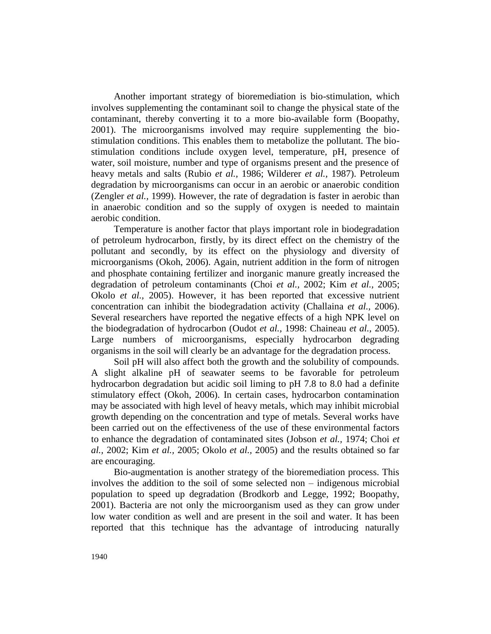Another important strategy of bioremediation is bio-stimulation, which involves supplementing the contaminant soil to change the physical state of the contaminant, thereby converting it to a more bio-available form (Boopathy, 2001). The microorganisms involved may require supplementing the biostimulation conditions. This enables them to metabolize the pollutant. The biostimulation conditions include oxygen level, temperature, pH, presence of water, soil moisture, number and type of organisms present and the presence of heavy metals and salts (Rubio *et al.,* 1986; Wilderer *et al.,* 1987). Petroleum degradation by microorganisms can occur in an aerobic or anaerobic condition (Zengler *et al.,* 1999). However, the rate of degradation is faster in aerobic than in anaerobic condition and so the supply of oxygen is needed to maintain aerobic condition.

Temperature is another factor that plays important role in biodegradation of petroleum hydrocarbon, firstly, by its direct effect on the chemistry of the pollutant and secondly, by its effect on the physiology and diversity of microorganisms (Okoh, 2006). Again, nutrient addition in the form of nitrogen and phosphate containing fertilizer and inorganic manure greatly increased the degradation of petroleum contaminants (Choi *et al.,* 2002; Kim *et al.,* 2005; Okolo *et al.,* 2005). However, it has been reported that excessive nutrient concentration can inhibit the biodegradation activity (Challaina *et al.,* 2006). Several researchers have reported the negative effects of a high NPK level on the biodegradation of hydrocarbon (Oudot *et al.,* 1998: Chaineau *et al.,* 2005). Large numbers of microorganisms, especially hydrocarbon degrading organisms in the soil will clearly be an advantage for the degradation process.

Soil pH will also affect both the growth and the solubility of compounds. A slight alkaline pH of seawater seems to be favorable for petroleum hydrocarbon degradation but acidic soil liming to pH 7.8 to 8.0 had a definite stimulatory effect (Okoh, 2006). In certain cases, hydrocarbon contamination may be associated with high level of heavy metals, which may inhibit microbial growth depending on the concentration and type of metals. Several works have been carried out on the effectiveness of the use of these environmental factors to enhance the degradation of contaminated sites (Jobson *et al.,* 1974; Choi *et al.,* 2002; Kim *et al.,* 2005; Okolo *et al.,* 2005) and the results obtained so far are encouraging.

Bio-augmentation is another strategy of the bioremediation process. This involves the addition to the soil of some selected non – indigenous microbial population to speed up degradation (Brodkorb and Legge, 1992; Boopathy, 2001). Bacteria are not only the microorganism used as they can grow under low water condition as well and are present in the soil and water. It has been reported that this technique has the advantage of introducing naturally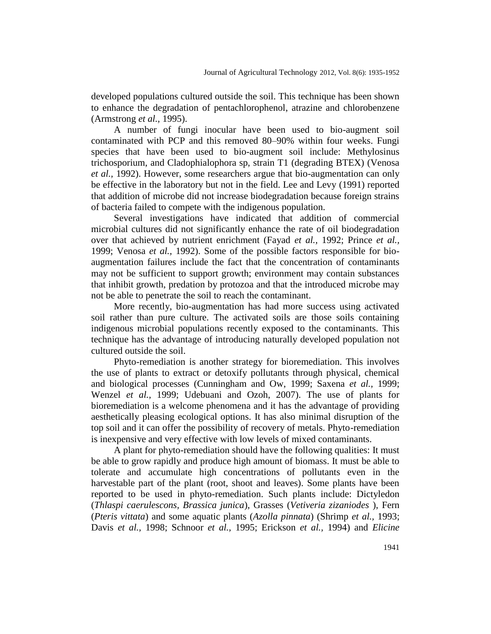developed populations cultured outside the soil. This technique has been shown to enhance the degradation of pentachlorophenol, atrazine and chlorobenzene (Armstrong *et al.,* 1995).

A number of fungi inocular have been used to bio-augment soil contaminated with PCP and this removed 80–90% within four weeks. Fungi species that have been used to bio-augment soil include: Methylosinus trichosporium, and Cladophialophora sp, strain T1 (degrading BTEX) (Venosa *et al.,* 1992). However, some researchers argue that bio-augmentation can only be effective in the laboratory but not in the field. Lee and Levy (1991) reported that addition of microbe did not increase biodegradation because foreign strains of bacteria failed to compete with the indigenous population.

Several investigations have indicated that addition of commercial microbial cultures did not significantly enhance the rate of oil biodegradation over that achieved by nutrient enrichment (Fayad *et al.,* 1992; Prince *et al.,* 1999; Venosa *et al.,* 1992). Some of the possible factors responsible for bioaugmentation failures include the fact that the concentration of contaminants may not be sufficient to support growth; environment may contain substances that inhibit growth, predation by protozoa and that the introduced microbe may not be able to penetrate the soil to reach the contaminant.

More recently, bio-augmentation has had more success using activated soil rather than pure culture. The activated soils are those soils containing indigenous microbial populations recently exposed to the contaminants. This technique has the advantage of introducing naturally developed population not cultured outside the soil.

Phyto-remediation is another strategy for bioremediation. This involves the use of plants to extract or detoxify pollutants through physical, chemical and biological processes (Cunningham and Ow, 1999; Saxena *et al.,* 1999; Wenzel *et al.,* 1999; Udebuani and Ozoh, 2007). The use of plants for bioremediation is a welcome phenomena and it has the advantage of providing aesthetically pleasing ecological options. It has also minimal disruption of the top soil and it can offer the possibility of recovery of metals. Phyto-remediation is inexpensive and very effective with low levels of mixed contaminants.

A plant for phyto-remediation should have the following qualities: It must be able to grow rapidly and produce high amount of biomass. It must be able to tolerate and accumulate high concentrations of pollutants even in the harvestable part of the plant (root, shoot and leaves). Some plants have been reported to be used in phyto-remediation. Such plants include: Dictyledon (*Thlaspi caerulescons, Brassica junica*), Grasses (*Vetiveria zizaniodes* ), Fern (*Pteris vittata*) and some aquatic plants (*Azolla pinnata*) (Shrimp *et al.,* 1993; Davis *et al.,* 1998; Schnoor *et al.,* 1995; Erickson *et al.,* 1994) and *Elicine*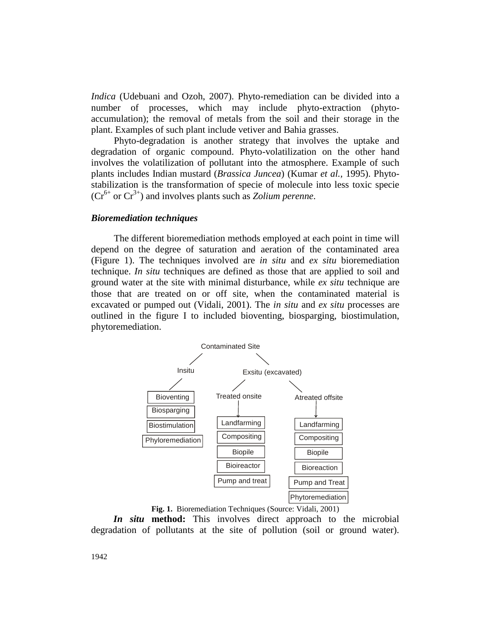*Indica* (Udebuani and Ozoh, 2007). Phyto-remediation can be divided into a number of processes, which may include phyto-extraction (phytoaccumulation); the removal of metals from the soil and their storage in the plant. Examples of such plant include vetiver and Bahia grasses.

Phyto-degradation is another strategy that involves the uptake and degradation of organic compound. Phyto-volatilization on the other hand involves the volatilization of pollutant into the atmosphere. Example of such plants includes Indian mustard (*Brassica Juncea*) (Kumar *et al.,* 1995). Phytostabilization is the transformation of specie of molecule into less toxic specie  $(Cr^{6+}$  or  $Cr^{3+}$ ) and involves plants such as *Zolium perenne*.

#### *Bioremediation techniques*

The different bioremediation methods employed at each point in time will depend on the degree of saturation and aeration of the contaminated area (Figure 1). The techniques involved are *in situ* and *ex situ* bioremediation technique. *In situ* techniques are defined as those that are applied to soil and ground water at the site with minimal disturbance, while *ex situ* technique are those that are treated on or off site, when the contaminated material is excavated or pumped out (Vidali, 2001). The *in situ* and *ex situ* processes are outlined in the figure I to included bioventing, biosparging, biostimulation, phytoremediation.



**Fig. 1.** Bioremediation Techniques (Source: Vidali, 2001)

*In situ* **method:** This involves direct approach to the microbial degradation of pollutants at the site of pollution (soil or ground water).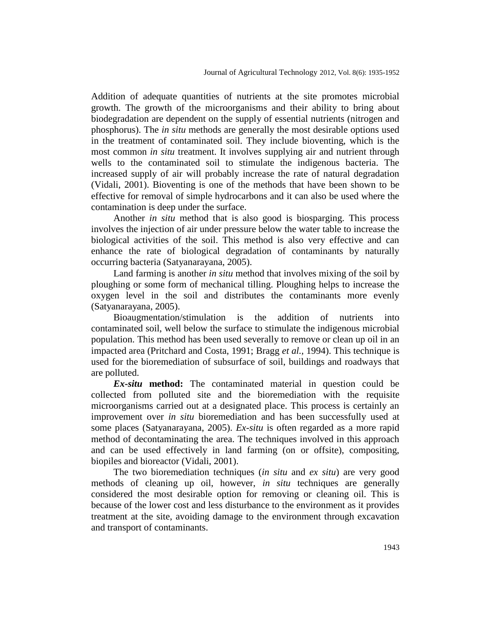Addition of adequate quantities of nutrients at the site promotes microbial growth. The growth of the microorganisms and their ability to bring about biodegradation are dependent on the supply of essential nutrients (nitrogen and phosphorus). The *in situ* methods are generally the most desirable options used in the treatment of contaminated soil. They include bioventing, which is the most common *in situ* treatment. It involves supplying air and nutrient through wells to the contaminated soil to stimulate the indigenous bacteria. The increased supply of air will probably increase the rate of natural degradation (Vidali, 2001). Bioventing is one of the methods that have been shown to be effective for removal of simple hydrocarbons and it can also be used where the contamination is deep under the surface.

Another *in situ* method that is also good is biosparging. This process involves the injection of air under pressure below the water table to increase the biological activities of the soil. This method is also very effective and can enhance the rate of biological degradation of contaminants by naturally occurring bacteria (Satyanarayana, 2005).

Land farming is another *in situ* method that involves mixing of the soil by ploughing or some form of mechanical tilling. Ploughing helps to increase the oxygen level in the soil and distributes the contaminants more evenly (Satyanarayana, 2005).

Bioaugmentation/stimulation is the addition of nutrients into contaminated soil, well below the surface to stimulate the indigenous microbial population. This method has been used severally to remove or clean up oil in an impacted area (Pritchard and Costa, 1991; Bragg *et al.,* 1994). This technique is used for the bioremediation of subsurface of soil, buildings and roadways that are polluted.

*Ex-situ* **method:** The contaminated material in question could be collected from polluted site and the bioremediation with the requisite microorganisms carried out at a designated place. This process is certainly an improvement over *in situ* bioremediation and has been successfully used at some places (Satyanarayana, 2005). *Ex-situ* is often regarded as a more rapid method of decontaminating the area. The techniques involved in this approach and can be used effectively in land farming (on or offsite), compositing, biopiles and bioreactor (Vidali, 2001).

The two bioremediation techniques (*in situ* and *ex situ*) are very good methods of cleaning up oil, however, *in situ* techniques are generally considered the most desirable option for removing or cleaning oil. This is because of the lower cost and less disturbance to the environment as it provides treatment at the site, avoiding damage to the environment through excavation and transport of contaminants.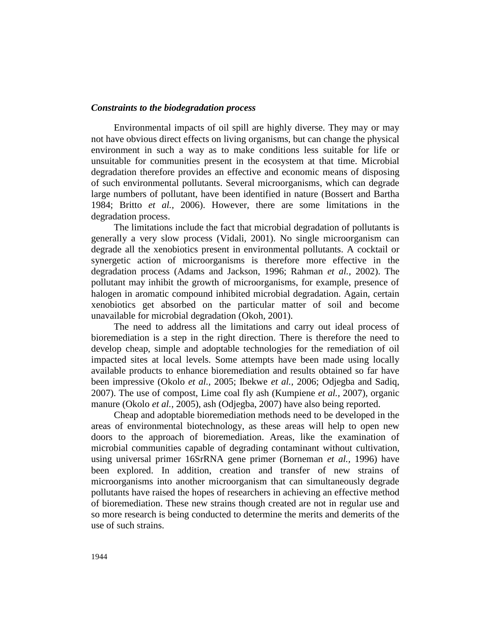#### *Constraints to the biodegradation process*

Environmental impacts of oil spill are highly diverse. They may or may not have obvious direct effects on living organisms, but can change the physical environment in such a way as to make conditions less suitable for life or unsuitable for communities present in the ecosystem at that time. Microbial degradation therefore provides an effective and economic means of disposing of such environmental pollutants. Several microorganisms, which can degrade large numbers of pollutant, have been identified in nature (Bossert and Bartha 1984; Britto *et al.,* 2006). However, there are some limitations in the degradation process.

The limitations include the fact that microbial degradation of pollutants is generally a very slow process (Vidali, 2001). No single microorganism can degrade all the xenobiotics present in environmental pollutants. A cocktail or synergetic action of microorganisms is therefore more effective in the degradation process (Adams and Jackson, 1996; Rahman *et al.,* 2002). The pollutant may inhibit the growth of microorganisms, for example, presence of halogen in aromatic compound inhibited microbial degradation. Again, certain xenobiotics get absorbed on the particular matter of soil and become unavailable for microbial degradation (Okoh*,* 2001).

The need to address all the limitations and carry out ideal process of bioremediation is a step in the right direction. There is therefore the need to develop cheap, simple and adoptable technologies for the remediation of oil impacted sites at local levels. Some attempts have been made using locally available products to enhance bioremediation and results obtained so far have been impressive (Okolo *et al.,* 2005; Ibekwe *et al.,* 2006; Odjegba and Sadiq, 2007). The use of compost, Lime coal fly ash (Kumpiene *et al.,* 2007), organic manure (Okolo *et al.,* 2005), ash (Odjegba, 2007) have also being reported.

Cheap and adoptable bioremediation methods need to be developed in the areas of environmental biotechnology, as these areas will help to open new doors to the approach of bioremediation. Areas, like the examination of microbial communities capable of degrading contaminant without cultivation, using universal primer 16SrRNA gene primer (Borneman *et al.,* 1996) have been explored. In addition, creation and transfer of new strains of microorganisms into another microorganism that can simultaneously degrade pollutants have raised the hopes of researchers in achieving an effective method of bioremediation. These new strains though created are not in regular use and so more research is being conducted to determine the merits and demerits of the use of such strains.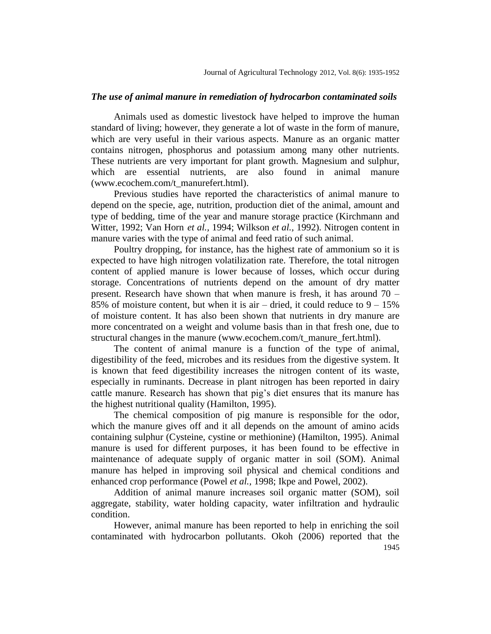### *The use of animal manure in remediation of hydrocarbon contaminated soils*

Animals used as domestic livestock have helped to improve the human standard of living; however, they generate a lot of waste in the form of manure, which are very useful in their various aspects. Manure as an organic matter contains nitrogen, phosphorus and potassium among many other nutrients. These nutrients are very important for plant growth. Magnesium and sulphur, which are essential nutrients, are also found in animal manure (www.ecochem.com/t\_manurefert.html).

Previous studies have reported the characteristics of animal manure to depend on the specie, age, nutrition, production diet of the animal, amount and type of bedding, time of the year and manure storage practice (Kirchmann and Witter, 1992; Van Horn *et al.,* 1994; Wilkson *et al.,* 1992). Nitrogen content in manure varies with the type of animal and feed ratio of such animal.

Poultry dropping, for instance, has the highest rate of ammonium so it is expected to have high nitrogen volatilization rate. Therefore, the total nitrogen content of applied manure is lower because of losses, which occur during storage. Concentrations of nutrients depend on the amount of dry matter present. Research have shown that when manure is fresh, it has around  $70 -$ 85% of moisture content, but when it is air – dried, it could reduce to  $9 - 15%$ of moisture content. It has also been shown that nutrients in dry manure are more concentrated on a weight and volume basis than in that fresh one, due to structural changes in the manure (www.ecochem.com/t\_manure\_fert.html).

The content of animal manure is a function of the type of animal, digestibility of the feed, microbes and its residues from the digestive system. It is known that feed digestibility increases the nitrogen content of its waste, especially in ruminants. Decrease in plant nitrogen has been reported in dairy cattle manure. Research has shown that pig's diet ensures that its manure has the highest nutritional quality (Hamilton, 1995).

The chemical composition of pig manure is responsible for the odor, which the manure gives off and it all depends on the amount of amino acids containing sulphur (Cysteine, cystine or methionine) (Hamilton, 1995). Animal manure is used for different purposes, it has been found to be effective in maintenance of adequate supply of organic matter in soil (SOM). Animal manure has helped in improving soil physical and chemical conditions and enhanced crop performance (Powel *et al.,* 1998; Ikpe and Powel, 2002).

Addition of animal manure increases soil organic matter (SOM), soil aggregate, stability, water holding capacity, water infiltration and hydraulic condition.

1945 However, animal manure has been reported to help in enriching the soil contaminated with hydrocarbon pollutants. Okoh (2006) reported that the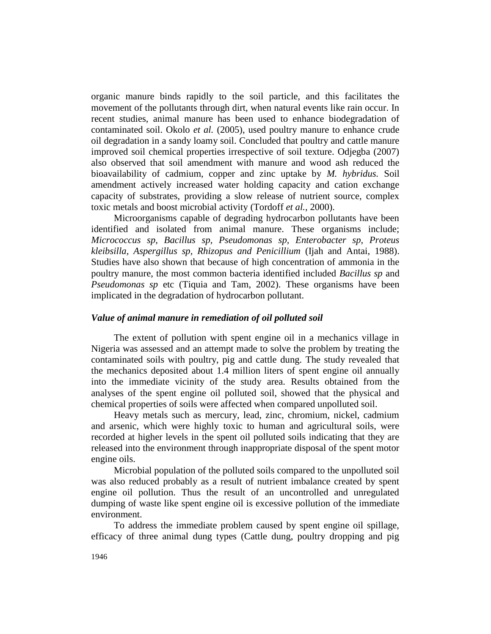organic manure binds rapidly to the soil particle, and this facilitates the movement of the pollutants through dirt, when natural events like rain occur. In recent studies, animal manure has been used to enhance biodegradation of contaminated soil. Okolo *et al.* (2005), used poultry manure to enhance crude oil degradation in a sandy loamy soil. Concluded that poultry and cattle manure improved soil chemical properties irrespective of soil texture. Odjegba (2007) also observed that soil amendment with manure and wood ash reduced the bioavailability of cadmium, copper and zinc uptake by *M. hybridus.* Soil amendment actively increased water holding capacity and cation exchange capacity of substrates, providing a slow release of nutrient source, complex toxic metals and boost microbial activity (Tordoff *et al.,* 2000).

Microorganisms capable of degrading hydrocarbon pollutants have been identified and isolated from animal manure. These organisms include; *Micrococcus sp, Bacillus sp, Pseudomonas sp, Enterobacter sp, Proteus kleibsilla, Aspergillus sp, Rhizopus and Penicillium* (Ijah and Antai, 1988). Studies have also shown that because of high concentration of ammonia in the poultry manure, the most common bacteria identified included *Bacillus sp* and *Pseudomonas sp* etc (Tiquia and Tam, 2002). These organisms have been implicated in the degradation of hydrocarbon pollutant.

# *Value of animal manure in remediation of oil polluted soil*

The extent of pollution with spent engine oil in a mechanics village in Nigeria was assessed and an attempt made to solve the problem by treating the contaminated soils with poultry, pig and cattle dung. The study revealed that the mechanics deposited about 1.4 million liters of spent engine oil annually into the immediate vicinity of the study area. Results obtained from the analyses of the spent engine oil polluted soil, showed that the physical and chemical properties of soils were affected when compared unpolluted soil.

Heavy metals such as mercury, lead, zinc, chromium, nickel, cadmium and arsenic, which were highly toxic to human and agricultural soils, were recorded at higher levels in the spent oil polluted soils indicating that they are released into the environment through inappropriate disposal of the spent motor engine oils.

Microbial population of the polluted soils compared to the unpolluted soil was also reduced probably as a result of nutrient imbalance created by spent engine oil pollution. Thus the result of an uncontrolled and unregulated dumping of waste like spent engine oil is excessive pollution of the immediate environment.

To address the immediate problem caused by spent engine oil spillage, efficacy of three animal dung types (Cattle dung, poultry dropping and pig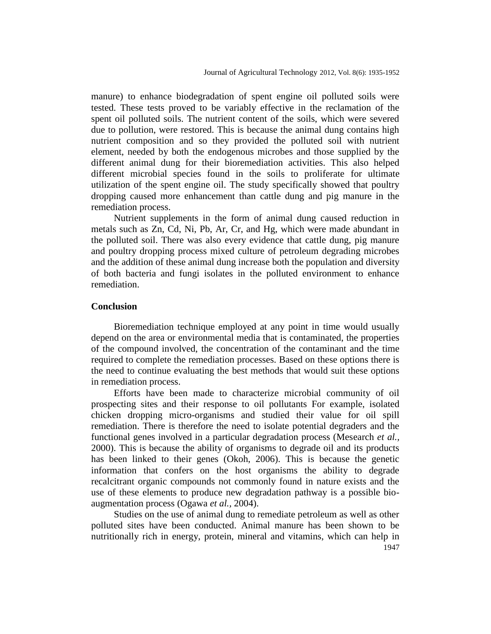manure) to enhance biodegradation of spent engine oil polluted soils were tested. These tests proved to be variably effective in the reclamation of the spent oil polluted soils. The nutrient content of the soils, which were severed due to pollution, were restored. This is because the animal dung contains high nutrient composition and so they provided the polluted soil with nutrient element, needed by both the endogenous microbes and those supplied by the different animal dung for their bioremediation activities. This also helped different microbial species found in the soils to proliferate for ultimate utilization of the spent engine oil. The study specifically showed that poultry dropping caused more enhancement than cattle dung and pig manure in the remediation process.

Nutrient supplements in the form of animal dung caused reduction in metals such as Zn, Cd, Ni, Pb, Ar, Cr, and Hg, which were made abundant in the polluted soil. There was also every evidence that cattle dung, pig manure and poultry dropping process mixed culture of petroleum degrading microbes and the addition of these animal dung increase both the population and diversity of both bacteria and fungi isolates in the polluted environment to enhance remediation.

# **Conclusion**

Bioremediation technique employed at any point in time would usually depend on the area or environmental media that is contaminated, the properties of the compound involved, the concentration of the contaminant and the time required to complete the remediation processes. Based on these options there is the need to continue evaluating the best methods that would suit these options in remediation process.

Efforts have been made to characterize microbial community of oil prospecting sites and their response to oil pollutants For example, isolated chicken dropping micro-organisms and studied their value for oil spill remediation. There is therefore the need to isolate potential degraders and the functional genes involved in a particular degradation process (Mesearch *et al.,* 2000). This is because the ability of organisms to degrade oil and its products has been linked to their genes (Okoh, 2006). This is because the genetic information that confers on the host organisms the ability to degrade recalcitrant organic compounds not commonly found in nature exists and the use of these elements to produce new degradation pathway is a possible bioaugmentation process (Ogawa *et al.,* 2004).

1947 Studies on the use of animal dung to remediate petroleum as well as other polluted sites have been conducted. Animal manure has been shown to be nutritionally rich in energy, protein, mineral and vitamins, which can help in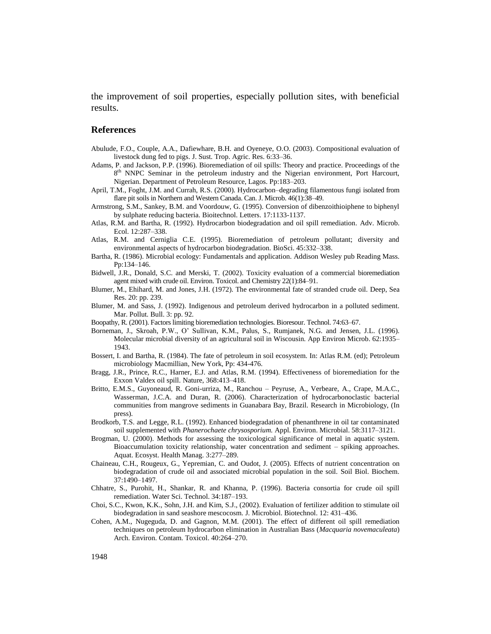the improvement of soil properties, especially pollution sites, with beneficial results.

#### **References**

- Abulude, F.O., Couple, A.A., Dafiewhare, B.H. and Oyeneye, O.O. (2003). Compositional evaluation of livestock dung fed to pigs. J. Sust. Trop. Agric. Res. 6:33–36.
- Adams, P. and Jackson, P.P. (1996). Bioremediation of oil spills: Theory and practice. Proceedings of the 8<sup>th</sup> NNPC Seminar in the petroleum industry and the Nigerian environment, Port Harcourt, Nigerian. Department of Petroleum Resource, Lagos. Pp:183–203.
- April, T.M., Foght, J.M. and Currah, R.S. (2000). Hydrocarbon–degrading filamentous fungi isolated from flare pit soils in Northern and Western Canada. Can. J. Microb. 46(1):38–49.
- Armstrong, S.M., Sankey, B.M. and Voordouw, G. (1995). Conversion of dibenzoithioiphene to biphenyl by sulphate reducing bacteria. Bioitechnol. Letters. 17:1133-1137.
- Atlas, R.M. and Bartha, R. (1992). Hydrocarbon biodegradation and oil spill remediation. Adv. Microb. Ecol. 12:287–338.
- Atlas, R.M. and Cerniglia C.E. (1995). Bioremediation of petroleum pollutant; diversity and environmental aspects of hydrocarbon biodegradation. BioSci. 45:332–338.
- Bartha, R. (1986). Microbial ecology: Fundamentals and application. Addison Wesley pub Reading Mass. Pp:134–146.
- Bidwell, J.R., Donald, S.C. and Merski, T. (2002). Toxicity evaluation of a commercial bioremediation agent mixed with crude oil. Environ. Toxicol. and Chemistry 22(1):84–91.
- Blumer, M., Ehihard, M. and Jones, J.H. (1972). The environmental fate of stranded crude oil. Deep, Sea Res. 20: pp. 239.
- Blumer, M. and Sass, J. (1992). Indigenous and petroleum derived hydrocarbon in a polluted sediment. Mar. Pollut. Bull. 3: pp. 92.
- Boopathy, R. (2001). Factors limiting bioremediation technologies. Bioresour. Technol. 74:63–67.
- Borneman, J., Skroah, P.W., O' Sullivan, K.M., Palus, S., Rumjanek, N.G. and Jensen, J.L. (1996). Molecular microbial diversity of an agricultural soil in Wiscousin. App Environ Microb. 62:1935– 1943.
- Bossert, I. and Bartha, R. (1984). The fate of petroleum in soil ecosystem. In: Atlas R.M. (ed); Petroleum microbiology Macmillian, New York, Pp: 434-476.
- Bragg, J.R., Prince, R.C., Harner, E.J. and Atlas, R.M. (1994). Effectiveness of bioremediation for the Exxon Valdex oil spill. Nature, 368:413–418.
- Britto, E.M.S., Guyoneaud, R. Goni-urriza, M., Ranchou Peyruse, A., Verbeare, A., Crape, M.A.C., Wasserman, J.C.A. and Duran, R. (2006). Characterization of hydrocarbonoclastic bacterial communities from mangrove sediments in Guanabara Bay, Brazil. Research in Microbiology, (In press).
- Brodkorb, T.S. and Legge, R.L. (1992). Enhanced biodegradation of phenanthrene in oil tar contaminated soil supplemented with *Phanerochaete chrysosporium.* Appl. Environ. Microbial. 58:3117–3121.
- Brogman, U. (2000). Methods for assessing the toxicological significance of metal in aquatic system. Bioaccumulation toxicity relationship, water concentration and sediment – spiking approaches. Aquat. Ecosyst. Health Manag. 3:277–289.
- Chaineau, C.H., Rougeux, G., Yepremian, C. and Oudot, J. (2005). Effects of nutrient concentration on biodegradation of crude oil and associated microbial population in the soil. Soil Biol. Biochem. 37:1490–1497.
- Chhatre, S., Purohit, H., Shankar, R. and Khanna, P. (1996). Bacteria consortia for crude oil spill remediation. Water Sci. Technol. 34:187–193.
- Choi, S.C., Kwon, K.K., Sohn, J.H. and Kim, S.J., (2002). Evaluation of fertilizer addition to stimulate oil biodegradation in sand seashore mescocosm. J. Microbiol. Biotechnol. 12: 431–436.
- Cohen, A.M., Nugeguda, D. and Gagnon, M.M. (2001). The effect of different oil spill remediation techniques on petroleum hydrocarbon elimination in Australian Bass (*Macquaria novemaculeata*) Arch. Environ. Contam. Toxicol. 40:264–270.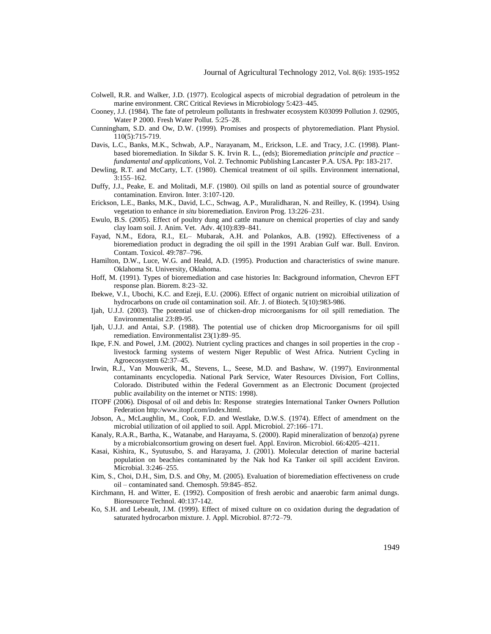- Colwell, R.R. and Walker, J.D. (1977). Ecological aspects of microbial degradation of petroleum in the marine environment. CRC Critical Reviews in Microbiology 5:423–445.
- Cooney, J.J. (1984). The fate of petroleum pollutants in freshwater ecosystem K03099 Pollution J. 02905, Water P 2000. Fresh Water Pollut*.* 5:25–28.
- Cunningham, S.D. and Ow, D.W. (1999). Promises and prospects of phytoremediation. Plant Physiol. 110(5):715-719.
- Davis, L.C., Banks, M.K., Schwab, A.P., Narayanam, M., Erickson, L.E. and Tracy, J.C. (1998). Plantbased bioremediation. In Sikdar S. K. Irvin R. L., (eds); Bioremediation *principle and practice – fundamental and applications,* Vol. 2. Technomic Publishing Lancaster P.A. USA. Pp: 183-217.
- Dewling, R.T. and McCarty, L.T. (1980). Chemical treatment of oil spills. Environment international, 3:155–162.
- Duffy, J.J., Peake, E. and Molitadi, M.F. (1980). Oil spills on land as potential source of groundwater contamination. Environ. Inter. 3:107-120.
- Erickson, L.E., Banks, M.K., David, L.C., Schwag, A.P., Muralidharan, N. and Reilley, K. (1994). Using vegetation to enhance *in situ* bioremediation. Environ Prog. 13:226–231.
- Ewulo, B.S. (2005). Effect of poultry dung and cattle manure on chemical properties of clay and sandy clay loam soil. J. Anim. Vet. Adv. 4(10):839–841.
- Fayad, N.M., Edora, R.I., EL– Mubarak, A.H. and Polankos, A.B. (1992). Effectiveness of a bioremediation product in degrading the oil spill in the 1991 Arabian Gulf war. Bull. Environ. Contam. Toxicol. 49:787–796.
- Hamilton, D.W., Luce, W.G. and Heald, A.D. (1995). Production and characteristics of swine manure. Oklahoma St. University, Oklahoma.
- Hoff, M. (1991). Types of bioremediation and case histories In: Background information, Chevron EFT response plan. Biorem. 8:23–32.
- Ibekwe, V.I., Ubochi, K.C. and Ezeji, E.U. (2006). Effect of organic nutrient on microibial utilization of hydrocarbons on crude oil contamination soil. Afr. J. of Biotech. 5(10):983-986.
- Ijah, U.J.J. (2003). The potential use of chicken-drop microorganisms for oil spill remediation. The Environmentalist 23:89-95.
- Ijah, U.J.J. and Antai, S.P. (1988). The potential use of chicken drop Microorganisms for oil spill remediation. Environmentalist 23(1):89–95.
- Ikpe, F.N. and Powel, J.M. (2002). Nutrient cycling practices and changes in soil properties in the crop livestock farming systems of western Niger Republic of West Africa. Nutrient Cycling in Agroecosystem 62:37–45.
- Irwin, R.J., Van Mouwerik, M., Stevens, L., Seese, M.D. and Bashaw, W. (1997). Environmental contaminants encyclopedia. National Park Service, Water Resources Division, Fort Collins, Colorado. Distributed within the Federal Government as an Electronic Document (projected public availability on the internet or NTIS: 1998).
- ITOPF (2006). Disposal of oil and debis In: Response strategies International Tanker Owners Pollution Federation http:/www.itopf.com/index.html.
- Jobson, A., McLaughlin, M., Cook, F.D. and Westlake, D.W.S. (1974). Effect of amendment on the microbial utilization of oil applied to soil. Appl. Microbiol. 27:166–171.
- Kanaly, R.A.R., Bartha, K., Watanabe, and Harayama, S. (2000). Rapid mineralization of benzo(a) pyrene by a microbialconsortium growing on desert fuel. Appl. Environ. Microbiol. 66:4205–4211.
- Kasai, Kishira, K., Syutusubo, S. and Harayama, J. (2001). Molecular detection of marine bacterial population on beachies contaminated by the Nak hod Ka Tanker oil spill accident Environ. Microbial. 3:246–255.
- Kim, S., Choi, D.H., Sim, D.S. and Ohy, M. (2005). Evaluation of bioremediation effectiveness on crude oil – contaminated sand. Chemosph. 59:845–852.
- Kirchmann, H. and Witter, E. (1992). Composition of fresh aerobic and anaerobic farm animal dungs. Bioresource Technol. 40:137-142.
- Ko, S.H. and Lebeault, J.M. (1999). Effect of mixed culture on co oxidation during the degradation of saturated hydrocarbon mixture. J. Appl. Microbiol. 87:72–79.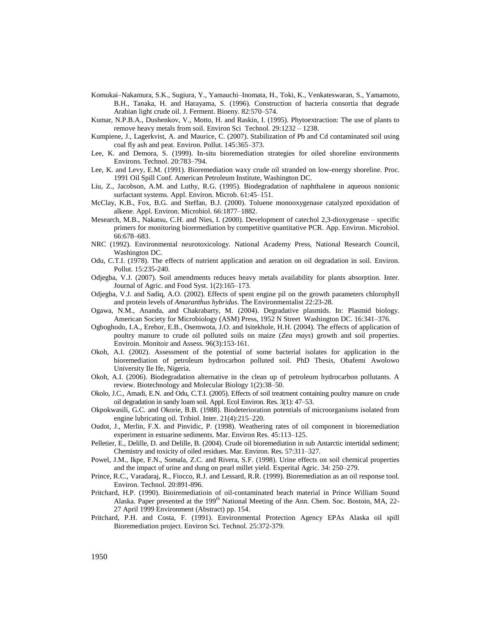- Komukai–Nakamura, S.K., Sugiura, Y., Yamauchi–Inomata, H., Toki, K., Venkateswaran, S., Yamamoto, B.H., Tanaka, H. and Harayama, S. (1996). Construction of bacteria consortia that degrade Arabian light crude oil. J. Ferment. Bioeny. 82:570–574.
- Kumar, N.P.B.A., Dushenkov, V., Motto, H. and Raskin, I. (1995). Phytoextraction: The use of plants to remove heavy metals from soil. Environ Sci Technol. 29:1232 – 1238.
- Kumpiene, J., Lagerkvist, A. and Maurice, C. (2007). Stabilization of Pb and Cd contaminated soil using coal fly ash and peat. Environ. Pollut. 145:365–373.
- Lee, K. and Demora, S. (1999). In-situ bioremediation strategies for oiled shoreline environments Environs. Technol. 20:783–794.
- Lee, K. and Levy, E.M. (1991). Bioremediation waxy crude oil stranded on low-energy shoreline. Proc. 1991 Oil Spill Conf. American Petroleum Institute, Washington DC.
- Liu, Z., Jacobson, A.M. and Luthy, R.G. (1995). Biodegradation of naphthalene in aqueous nonionic surfactant systems. Appl. Environ. Microb. 61:45–151.
- McClay, K.B., Fox, B.G. and Steffan, B.J. (2000). Toluene monooxygenase catalyzed epoxidation of alkene. Appl. Environ. Microbiol. 66:1877–1882.
- Mesearch, M.B., Nakatsu, C.H. and Nies, I. (2000). Development of catechol 2,3-dioxygenase specific primers for monitoring bioremediation by competitive quantitative PCR. App. Environ. Microbiol. 66:678–683.
- NRC (1992). Environmental neurotoxicology*.* National Academy Press, National Research Council, Washington DC.
- Odu, C.T.I. (1978). The effects of nutrient application and aeration on oil degradation in soil. Environ. Pollut*.* 15:235-240.
- Odjegba, V.J. (2007). Soil amendments reduces heavy metals availability for plants absorption. Inter. Journal of Agric. and Food Syst. 1(2):165–173.
- Odjegba, V.J. and Sadiq, A.O. (2002). Effects of spent engine pil on the growth parameters chlorophyll and protein levels of *Amaranthus hybridus*. The Environmentalist 22:23-28.
- Ogawa, N.M., Ananda, and Chakrabarty, M. (2004). Degradative plasmids. In: Plasmid biology. American Society for Microbiology (ASM) Press, 1952 N StreetWashington DC. 16:341–376.
- Ogboghodo, I.A., Erebor, E.B., Osemwota, J.O. and Isitekhole, H.H. (2004). The effects of application of poultry manure to crude oil polluted soils on maize (*Zea mays*) growth and soil properties. Enviroin. Monitoir and Assess. 96(3):153-161.
- Okoh, A.I. (2002). Assessment of the potential of some bacterial isolates for application in the bioremediation of petroleum hydrocarbon polluted soil. PhD Thesis, Obafemi Awolowo University Ile Ife, Nigeria.
- Okoh, A.I. (2006). Biodegradation alternative in the clean up of petroleum hydrocarbon pollutants. A review. Biotechnology and Molecular Biology 1(2):38–50.
- Okolo, J.C., Amadi, E.N. and Odu, C.T.I. (2005). Effects of soil treatment containing poultry manure on crude oil degradation in sandy loam soil. Appl. Ecol Environ. Res. 3(1): 47–53.
- Okpokwasili, G.C. and Okorie, B.B. (1988). Biodeterioration potentials of microorganisms isolated from engine lubricating oil. Tribiol. Inter. 21(4):215–220.
- Oudot, J., Merlin, F.X. and Pinvidic, P. (1998). Weathering rates of oil component in bioremediation experiment in estuarine sediments. Mar. Environ Res. 45:113–125.
- Pelletier, E., Delille, D. and Delille, B. (2004). Crude oil bioremediation in sub Antarctic intertidal sediment; Chemistry and toxicity of oiled residues. Mar. Environ. Res. 57:311–327.
- Powel, J.M., Ikpe, F.N., Somala, Z.C. and Rivera, S.F. (1998). Urine effects on soil chemical properties and the impact of urine and dung on pearl millet yield. Experital Agric. 34: 250–279.
- Prince, R.C., Varadaraj, R., Fiocco, R.J. and Lessard, R.R. (1999). Bioremediation as an oil response tool. Environ. Technol. 20:891-896.
- Pritchard, H.P. (1990). Bioiremediatioin of oil-contaminated beach material in Prince William Sound Alaska. Paper presented at the 199<sup>th</sup> National Meeting of the Ann. Chem. Soc. Bostoin, MA, 22-27 April 1999 Environment (Abstract) pp. 154.
- Pritchard, P.H. and Costa, F. (1991). Environmental Protection Agency EPAs Alaska oil spill Bioremediation project. Environ Sci. Technol*.* 25:372-379.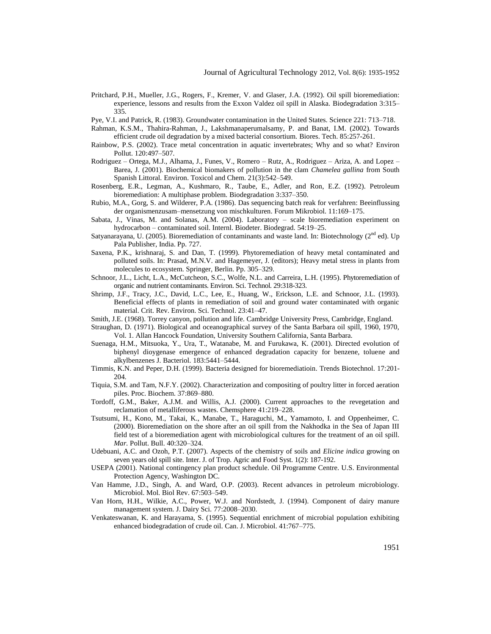Pritchard, P.H., Mueller, J.G., Rogers, F., Kremer, V. and Glaser, J.A. (1992). Oil spill bioremediation: experience, lessons and results from the Exxon Valdez oil spill in Alaska. Biodegradation 3:315– 335.

Pye, V.I. and Patrick, R. (1983). Groundwater contamination in the United States. Science 221: 713–718.

- Rahman, K.S.M., Thahira-Rahman, J., Lakshmanaperumalsamy, P. and Banat, I.M. (2002). Towards efficient crude oil degradation by a mixed bacterial consortium. Biores. Tech. 85:257-261.
- Rainbow, P.S. (2002). Trace metal concentration in aquatic invertebrates; Why and so what? Environ Pollut. 120:497–507.
- Rodriguez Ortega, M.J., Alhama, J., Funes, V., Romero Rutz, A., Rodriguez Ariza, A. and Lopez Barea, J. (2001). Biochemical biomakers of pollution in the clam *Chamelea gallina* from South Spanish Littoral*.* Environ. Toxicol and Chem. 21(3):542–549.
- Rosenberg, E.R., Legman, A., Kushmaro, R., Taube, E., Adler, and Ron, E.Z. (1992). Petroleum bioremediation: A multiphase problem. Biodegradation 3:337–350.
- Rubio, M.A., Gorg, S. and Wilderer, P.A. (1986). Das sequencing batch reak for verfahren: Beeinflussing der organismenzusam–mensetzung von mischkulturen. Forum Mikrobiol*.* 11:169–175.
- Sabata, J., Vinas, M. and Solanas, A.M. (2004). Laboratory scale bioremediation experiment on hydrocarbon – contaminated soil. Internl. Biodeter. Biodegrad. 54:19–25.
- Satyanarayana, U. (2005). Bioremediation of contaminants and waste land. In: Biotechnology (2<sup>nd</sup> ed). Up Pala Publisher, India. Pp. 727.
- Saxena, P.K., krishnaraj, S. and Dan, T. (1999). Phytoremediation of heavy metal contaminated and polluted soils. In: Prasad, M.N.V. and Hagemeyer, J. (editors); Heavy metal stress in plants from molecules to ecosystem. Springer, Berlin. Pp. 305–329.
- Schnoor, J.L., Licht, L.A., McCutcheon, S.C., Wolfe, N.L. and Carreira, L.H. (1995). Phytoremediation of organic and nutrient contaminants. Environ. Sci. Technol*.* 29:318-323.
- Shrimp, J.F., Tracy, J.C., David, L.C., Lee, E., Huang, W., Erickson, L.E. and Schnoor, J.L. (1993). Beneficial effects of plants in remediation of soil and ground water contaminated with organic material. Crit. Rev. Environ. Sci. Technol. 23:41–47.
- Smith, J.E. (1968). Torrey canyon, pollution and life. Cambridge University Press, Cambridge, England.
- Straughan, D. (1971). Biological and oceanographical survey of the Santa Barbara oil spill, 1960, 1970, Vol. 1. Allan Hancock Foundation, University Southern California, Santa Barbara.
- Suenaga, H.M., Mitsuoka, Y., Ura, T., Watanabe, M. and Furukawa, K. (2001). Directed evolution of biphenyl dioygenase emergence of enhanced degradation capacity for benzene, toluene and alkylbenzenes J. Bacteriol. 183:5441–5444.
- Timmis, K.N. and Peper, D.H. (1999). Bacteria designed for bioremediatioin. Trends Biotechnol. 17:201- 204.
- Tiquia, S.M. and Tam, N.F.Y. (2002). Characterization and compositing of poultry litter in forced aeration piles. Proc. Biochem. 37:869–880.
- Tordoff, G.M., Baker, A.J.M. and Willis, A.J. (2000). Current approaches to the revegetation and reclamation of metalliferous wastes. Chemsphere 41:219–228.
- Tsutsumi, H., Kono, M., Takai, K., Manabe, T., Haraguchi, M., Yamamoto, I. and Oppenheimer, C. (2000). Bioremediation on the shore after an oil spill from the Nakhodka in the Sea of Japan III field test of a bioremediation agent with microbiological cultures for the treatment of an oil spill. *Mar.* Pollut. Bull. 40:320–324.
- Udebuani, A.C. and Ozoh, P.T. (2007). Aspects of the chemistry of soils and *Elicine indica* growing on seven years old spill site. Inter. J. of Trop. Agric and Food Syst. 1(2): 187-192.
- USEPA (2001). National contingency plan product schedule. Oil Programme Centre. U.S. Environmental Protection Agency, Washington DC.
- Van Hamme, J.D., Singh, A. and Ward, O.P. (2003). Recent advances in petroleum microbiology. Microbiol. Mol. Biol Rev. 67:503–549.
- Van Horn, H.H., Wilkie, A.C., Power, W.J. and Nordstedt, J. (1994). Component of dairy manure management system. J. Dairy Sci. 77:2008–2030.
- Venkateswanan, K. and Harayama, S. (1995). Sequential enrichment of microbial population exhibiting enhanced biodegradation of crude oil. Can. J. Microbiol. 41:767–775.